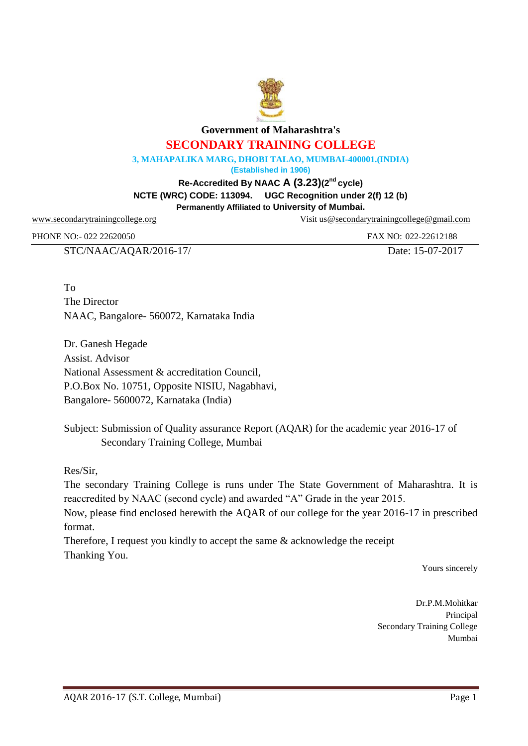

#### **Government of Maharashtra's SECONDARY TRAINING COLLEGE**

**3, MAHAPALIKA MARG, DHOBI TALAO, MUMBAI-400001.(INDIA)**

**(Established in 1906)**

#### **Re-Accredited By NAAC A (3.23)(2nd cycle)**

#### **NCTE (WRC) CODE: 113094. UGC Recognition under 2(f) 12 (b)**

**Permanently Affiliated to University of Mumbai.**

[www.secondarytrainingcollege.org](http://www.secondarytrainingcollege.org/) Visit us[@secondarytrainingcollege@gmail.com](mailto:secondarytrainingcollege@gmail.com)

PHONE NO:- 022 22620050 FAX NO: 022-22612188

STC/NAAC/AQAR/2016-17/ Date: 15-07-2017

To The Director NAAC, Bangalore- 560072, Karnataka India

Dr. Ganesh Hegade Assist. Advisor National Assessment & accreditation Council, P.O.Box No. 10751, Opposite NISIU, Nagabhavi, Bangalore- 5600072, Karnataka (India)

Subject: Submission of Quality assurance Report (AQAR) for the academic year 2016-17 of Secondary Training College, Mumbai

Res/Sir,

The secondary Training College is runs under The State Government of Maharashtra. It is reaccredited by NAAC (second cycle) and awarded "A" Grade in the year 2015.

Now, please find enclosed herewith the AQAR of our college for the year 2016-17 in prescribed format.

Therefore, I request you kindly to accept the same & acknowledge the receipt Thanking You.

Yours sincerely

Dr.P.M.Mohitkar Principal Secondary Training College Mumbai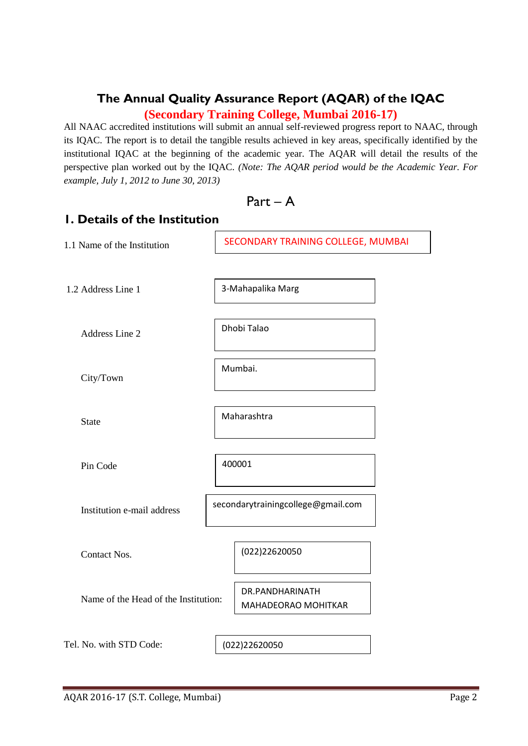## **The Annual Quality Assurance Report (AQAR) of the IQAC**

### **(Secondary Training College, Mumbai 2016-17)**

All NAAC accredited institutions will submit an annual self-reviewed progress report to NAAC, through its IQAC. The report is to detail the tangible results achieved in key areas, specifically identified by the institutional IQAC at the beginning of the academic year. The AQAR will detail the results of the perspective plan worked out by the IQAC. *(Note: The AQAR period would be the Academic Year. For example, July 1, 2012 to June 30, 2013)*

$$
Part-A
$$

# **1. Details of the Institution** 1.1 Name of the Institution 1.2 Address Line 1 Address Line 2 City/Town State Pin Code Institution e-mail address Contact Nos. Name of the Head of the Institution: Tel. No. with STD Code: (022)22620050 SECONDARY TRAINING COLLEGE, MUMBAI 3-Mahapalika Marg Dhobi Talao Mumbai. Maharashtra 400001 secondarytrainingcollege@gmail.com DR.PANDHARINATH MAHADEORAO MOHITKAR (022)22620050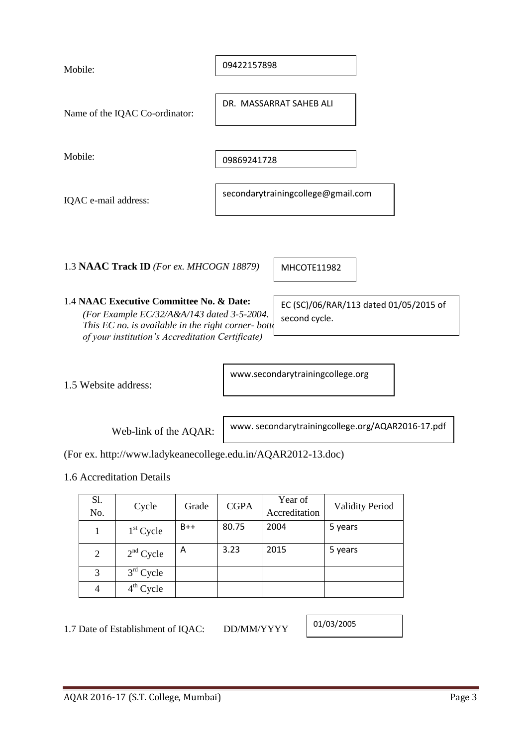| Mobile:                        |                      | 09422157898                                                                                                                                             |       |                                    |                                                  |            |                        |                                        |
|--------------------------------|----------------------|---------------------------------------------------------------------------------------------------------------------------------------------------------|-------|------------------------------------|--------------------------------------------------|------------|------------------------|----------------------------------------|
| Name of the IQAC Co-ordinator: |                      | DR. MASSARRAT SAHEB ALI                                                                                                                                 |       |                                    |                                                  |            |                        |                                        |
| Mobile:                        |                      |                                                                                                                                                         |       | 09869241728                        |                                                  |            |                        |                                        |
| IQAC e-mail address:           |                      |                                                                                                                                                         |       | secondarytrainingcollege@gmail.com |                                                  |            |                        |                                        |
|                                |                      | 1.3 NAAC Track ID (For ex. MHCOGN 18879)<br>1.4 NAAC Executive Committee No. & Date:                                                                    |       |                                    | MHCOTE11982                                      |            |                        | EC (SC)/06/RAR/113 dated 01/05/2015 of |
|                                |                      | (For Example EC/32/A&A/143 dated 3-5-2004.<br>This EC no. is available in the right corner- bottom-<br>of your institution's Accreditation Certificate) |       |                                    | second cycle.                                    |            |                        |                                        |
|                                | 1.5 Website address: |                                                                                                                                                         |       |                                    | www.secondarytrainingcollege.org                 |            |                        |                                        |
|                                |                      | Web-link of the AQAR:                                                                                                                                   |       |                                    | www.secondarytrainingcollege.org/AQAR2016-17.pdf |            |                        |                                        |
|                                |                      | (For ex. http://www.ladykeanecollege.edu.in/AQAR2012-13.doc)                                                                                            |       |                                    |                                                  |            |                        |                                        |
|                                |                      | 1.6 Accreditation Details                                                                                                                               |       |                                    |                                                  |            |                        |                                        |
|                                | Sl.<br>No.           | Cycle                                                                                                                                                   | Grade | <b>CGPA</b>                        | Year of<br>Accreditation                         |            | <b>Validity Period</b> |                                        |
|                                | $\mathbf{1}$         | $1st$ Cycle                                                                                                                                             | $B++$ | 80.75                              | 2004                                             | 5 years    |                        |                                        |
|                                | $\overline{2}$       | $2nd$ Cycle                                                                                                                                             | Α     | 3.23                               | 2015                                             | 5 years    |                        |                                        |
|                                | 3<br>$\overline{4}$  | $3rd$ Cycle<br>$4th$ Cycle                                                                                                                              |       |                                    |                                                  |            |                        |                                        |
|                                |                      | 1.7 Date of Establishment of IQAC:                                                                                                                      |       | DD/MM/YYYY                         |                                                  | 01/03/2005 |                        |                                        |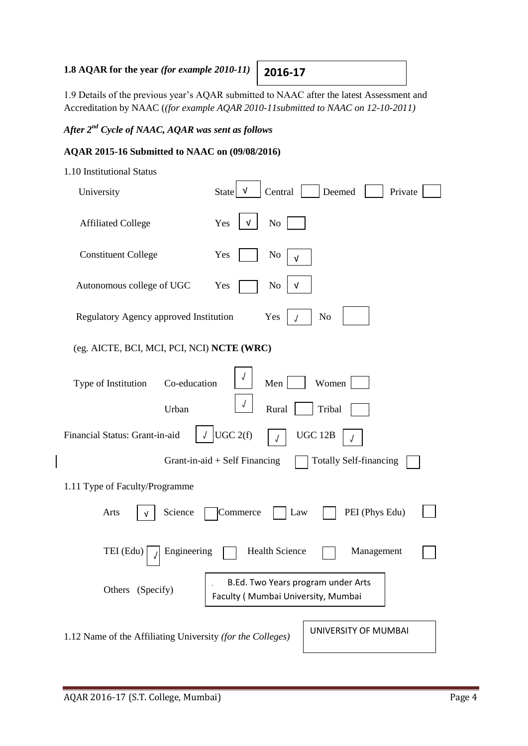#### **1.8 AQAR for the year** *(for example 2010-11)*

**2016-17**

1.9 Details of the previous year's AQAR submitted to NAAC after the latest Assessment and Accreditation by NAAC (*(for example AQAR 2010-11submitted to NAAC on 12-10-2011)*

### *After 2nd Cycle of NAAC, AQAR was sent as follows*

#### **AQAR 2015-16 Submitted to NAAC on (09/08/2016)**

| 1.10 Institutional Status                                  |                                 |                       |                                                                          |
|------------------------------------------------------------|---------------------------------|-----------------------|--------------------------------------------------------------------------|
| University                                                 | State<br>$\sqrt{ }$             | Central               | Deemed<br>Private                                                        |
| <b>Affiliated College</b>                                  | Yes<br>V                        | No                    |                                                                          |
| <b>Constituent College</b>                                 | Yes                             | N <sub>o</sub><br>v   |                                                                          |
| Autonomous college of UGC                                  | Yes                             | N <sub>o</sub><br>v   |                                                                          |
| Regulatory Agency approved Institution                     |                                 | Yes<br>$\Lambda$      | N <sub>o</sub>                                                           |
| (eg. AICTE, BCI, MCI, PCI, NCI) NCTE (WRC)                 |                                 |                       |                                                                          |
| Co-education<br>Type of Institution                        |                                 | Men                   | Women                                                                    |
| Urban                                                      |                                 | Rural                 | Tribal                                                                   |
| Financial Status: Grant-in-aid<br>$\sqrt{2}$               | $\vert$ UGC 2(f)                |                       | <b>UGC 12B</b>                                                           |
|                                                            | Grant-in-aid $+$ Self Financing |                       | <b>Totally Self-financing</b>                                            |
| 1.11 Type of Faculty/Programme                             |                                 |                       |                                                                          |
| Arts<br>Science<br>v                                       | Commerce                        | Law                   | PEI (Phys Edu)                                                           |
| TEI (Edu)<br>Engineering                                   |                                 | <b>Health Science</b> | Management                                                               |
| Others (Specify)                                           |                                 |                       | B.Ed. Two Years program under Arts<br>Faculty (Mumbai University, Mumbai |
| 1.12 Name of the Affiliating University (for the Colleges) |                                 |                       | UNIVERSITY OF MUMBAI                                                     |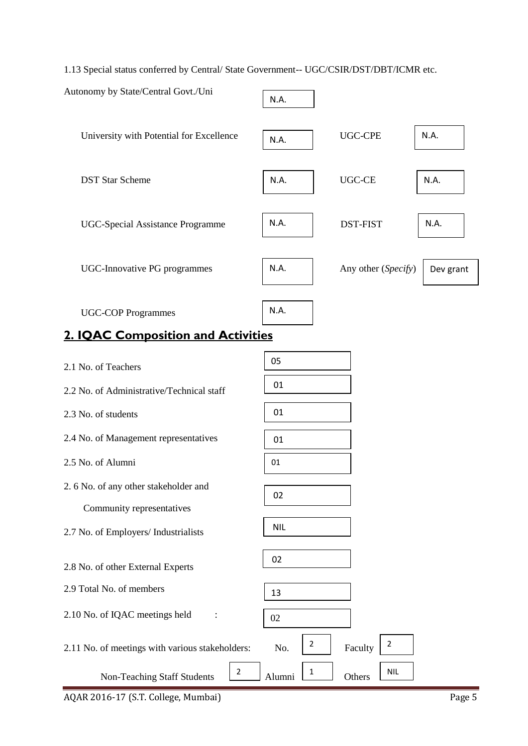1.13 Special status conferred by Central/ State Government-- UGC/CSIR/DST/DBT/ICMR etc.

| Autonomy by State/Central Govt./Uni      | N.A. |                     |           |
|------------------------------------------|------|---------------------|-----------|
| University with Potential for Excellence | N.A. | <b>UGC-CPE</b>      | N.A.      |
| <b>DST Star Scheme</b>                   | N.A. | <b>UGC-CE</b>       | N.A.      |
| <b>UGC-Special Assistance Programme</b>  | N.A. | <b>DST-FIST</b>     | N.A.      |
| UGC-Innovative PG programmes             | N.A. | Any other (Specify) | Dev grant |
| <b>UGC-COP Programmes</b>                | N.A. |                     |           |
| 2. IQAC Composition and Activities       |      |                     |           |

#### 2.1 No. of Teachers 2.2 No. of Administrative/Technical staff 2.3 No. of students 2.4 No. of Management representatives 2.5 No. of Alumni 2. 6 No. of any other stakeholder and Community representatives 2.7 No. of Employers/ Industrialists 2.8 No. of other External Experts 02 NIL 02 01 01 01 01 05

2.10 No. of IQAC meetings held : 2.11 No. of meetings with various stakeholders: No.  $\begin{vmatrix} 2 \\ 1 \end{vmatrix}$  Faculty Non-Teaching Staff Students  $\begin{bmatrix} 2 \end{bmatrix}$  Alumni  $\begin{bmatrix} 1 \end{bmatrix}$ 2 2 13 2 Others NIL  $02$ 

2.9 Total No. of members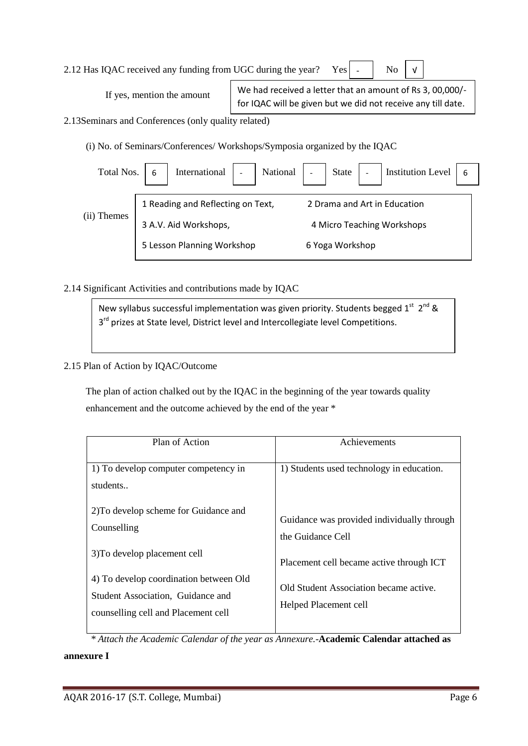| We had received a letter that an amount of Rs 3, 00,000/-<br>If yes, mention the amount<br>for IQAC will be given but we did not receive any till date. |
|---------------------------------------------------------------------------------------------------------------------------------------------------------|
|---------------------------------------------------------------------------------------------------------------------------------------------------------|

2.13Seminars and Conferences (only quality related)

(i) No. of Seminars/Conferences/ Workshops/Symposia organized by the IQAC

| Total Nos.  | International   -   National   -   State  <br>6 | Institution Level<br>$\sim$ $-$ |  |  |  |
|-------------|-------------------------------------------------|---------------------------------|--|--|--|
|             | 1 Reading and Reflecting on Text,               | 2 Drama and Art in Education    |  |  |  |
| (ii) Themes | 3 A.V. Aid Workshops,                           | 4 Micro Teaching Workshops      |  |  |  |
|             | 5 Lesson Planning Workshop                      | 6 Yoga Workshop                 |  |  |  |

2.14 Significant Activities and contributions made by IQAC

New syllabus successful implementation was given priority. Students begged 1<sup>st</sup> 2<sup>nd</sup> & 3<sup>rd</sup> prizes at State level, District level and Intercollegiate level Competitions.

2.15 Plan of Action by IQAC/Outcome

 The plan of action chalked out by the IQAC in the beginning of the year towards quality enhancement and the outcome achieved by the end of the year \*

| Plan of Action                                                                                                     | Achievements                                                    |
|--------------------------------------------------------------------------------------------------------------------|-----------------------------------------------------------------|
| 1) To develop computer competency in<br>students                                                                   | 1) Students used technology in education.                       |
| 2) To develop scheme for Guidance and<br>Counselling                                                               | Guidance was provided individually through<br>the Guidance Cell |
| 3) To develop placement cell                                                                                       | Placement cell became active through ICT                        |
| 4) To develop coordination between Old<br>Student Association, Guidance and<br>counselling cell and Placement cell | Old Student Association became active.<br>Helped Placement cell |

 *\* Attach the Academic Calendar of the year as Annexure.*-**Academic Calendar attached as annexure I**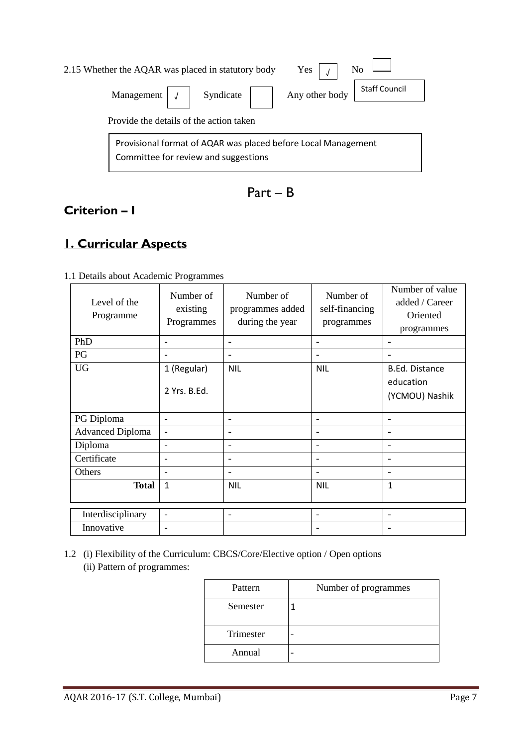| 2.15 Whether the AQAR was placed in statutory body                                                    |           | Yes <sup>1</sup> | No                   |  |  |  |
|-------------------------------------------------------------------------------------------------------|-----------|------------------|----------------------|--|--|--|
| Management                                                                                            | Syndicate | Any other body   | <b>Staff Council</b> |  |  |  |
| Provide the details of the action taken                                                               |           |                  |                      |  |  |  |
| Provisional format of AQAR was placed before Local Management<br>Committee for review and suggestions |           |                  |                      |  |  |  |

Part – B

## **Criterion – I**

# **1. Curricular Aspects**

| Level of the<br>Programme | Number of<br>existing<br>Programmes | Number of<br>programmes added<br>during the year | Number of<br>self-financing<br>programmes | Number of value<br>added / Career<br>Oriented<br>programmes |
|---------------------------|-------------------------------------|--------------------------------------------------|-------------------------------------------|-------------------------------------------------------------|
| PhD                       |                                     |                                                  | $\overline{\phantom{0}}$                  |                                                             |
| PG                        |                                     | $\overline{\phantom{a}}$                         | $\overline{\phantom{0}}$                  |                                                             |
| <b>UG</b>                 | 1 (Regular)<br>2 Yrs. B.Ed.         | <b>NIL</b>                                       | <b>NIL</b>                                | <b>B.Ed. Distance</b><br>education<br>(YCMOU) Nashik        |
| PG Diploma                | $\qquad \qquad \blacksquare$        | ۰                                                | $\overline{\phantom{a}}$                  | -                                                           |
| <b>Advanced Diploma</b>   | $\overline{\phantom{0}}$            | $\qquad \qquad \blacksquare$                     | $\overline{\phantom{a}}$                  | -                                                           |
| Diploma                   | $\overline{\phantom{0}}$            | $\overline{\phantom{a}}$                         | $\overline{\phantom{a}}$                  | $\qquad \qquad \blacksquare$                                |
| Certificate               | $\qquad \qquad \blacksquare$        | $\overline{\phantom{a}}$                         | $\overline{\phantom{a}}$                  | $\overline{\phantom{a}}$                                    |
| Others                    | $\qquad \qquad \blacksquare$        | $\overline{\phantom{a}}$                         | $\overline{\phantom{a}}$                  | $\overline{\phantom{a}}$                                    |
| <b>Total</b>              | $\mathbf{1}$                        | <b>NIL</b>                                       | <b>NIL</b>                                | 1                                                           |
| Interdisciplinary         | $\qquad \qquad \blacksquare$        | ۰                                                | $\overline{\phantom{0}}$                  | ۰                                                           |
| Innovative                |                                     |                                                  |                                           |                                                             |

1.1 Details about Academic Programmes

1.2 (i) Flexibility of the Curriculum: CBCS/Core/Elective option / Open options (ii) Pattern of programmes:

| Pattern   | Number of programmes |
|-----------|----------------------|
| Semester  |                      |
| Trimester |                      |
| Annual    |                      |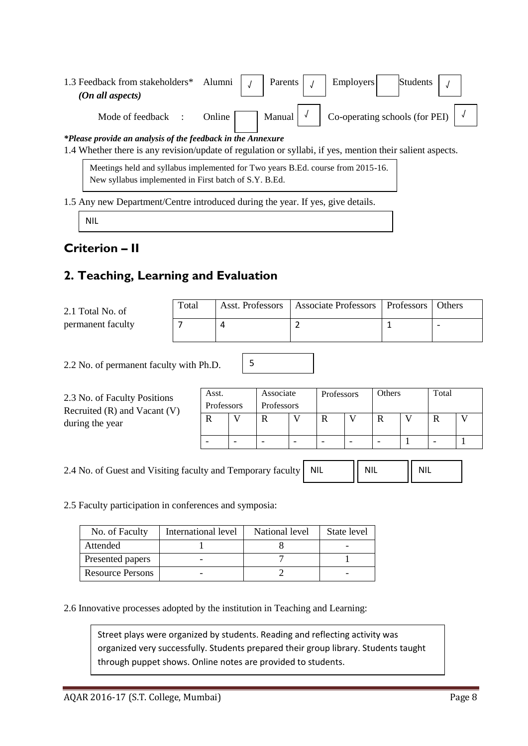| 1.3 Feedback from stakeholders* Alumni $\vert \int \vert$ Parents $\vert \int \vert$ Employers<br>(On all aspects)                                                       |  |  |  | Students |  |  |  |
|--------------------------------------------------------------------------------------------------------------------------------------------------------------------------|--|--|--|----------|--|--|--|
| Mode of feedback : Online Manual $\begin{vmatrix} 1 & 1 \\ 0 & 1 \end{vmatrix}$ Co-operating schools (for PEI) $\begin{vmatrix} 1 & 1 \\ 1 & 1 \end{vmatrix}$            |  |  |  |          |  |  |  |
| *Please provide an analysis of the feedback in the Annexure<br>1.4 Whether there is any revision/update of regulation or syllabi, if yes, mention their salient aspects. |  |  |  |          |  |  |  |

Meetings held and syllabus implemented for Two years B.Ed. course from 2015-16. New syllabus implemented in First batch of S.Y. B.Ed.

1.5 Any new Department/Centre introduced during the year. If yes, give details.

NIL

### **Criterion – II**

## **2. Teaching, Learning and Evaluation**

| 2.1 Total No. of  | Total | Asst. Professors   Associate Professors   Professors   Others |  |
|-------------------|-------|---------------------------------------------------------------|--|
| permanent faculty |       |                                                               |  |

2.2 No. of permanent faculty with Ph.D.

| 2.3 No. of Faculty Positions<br>Recruited $(R)$ and Vacant $(V)$<br>during the year | Asst.<br>Professors |  | Associate<br>Professors |                          | Professors               |  | Others                   |  | Total                    |  |
|-------------------------------------------------------------------------------------|---------------------|--|-------------------------|--------------------------|--------------------------|--|--------------------------|--|--------------------------|--|
|                                                                                     |                     |  | R                       |                          | R                        |  | R                        |  |                          |  |
|                                                                                     |                     |  |                         | $\overline{\phantom{0}}$ | $\overline{\phantom{a}}$ |  | $\overline{\phantom{a}}$ |  | $\overline{\phantom{a}}$ |  |

2.4 No. of Guest and Visiting faculty and Temporary faculty NIL NIL NIL

5

2.5 Faculty participation in conferences and symposia:

| No. of Faculty          | International level | National level | State level |
|-------------------------|---------------------|----------------|-------------|
| Attended                |                     |                |             |
| Presented papers        |                     |                |             |
| <b>Resource Persons</b> |                     |                |             |

2.6 Innovative processes adopted by the institution in Teaching and Learning:

Street plays were organized by students. Reading and reflecting activity was organized very successfully. Students prepared their group library. Students taught through puppet shows. Online notes are provided to students.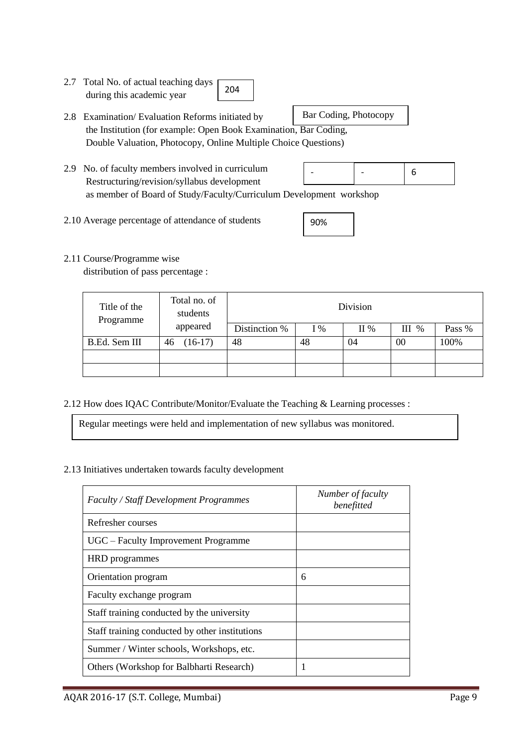- 2.7 Total No. of actual teaching days during this academic year 204
- 2.8 Examination/ Evaluation Reforms initiated by the Institution (for example: Open Book Examination, Bar Coding, Double Valuation, Photocopy, Online Multiple Choice Questions) Photocopy Bar Coding, Photocopy
- 2.9 No. of faculty members involved in curriculum Restructuring/revision/syllabus development as member of Board of Study/Faculty/Curriculum Development workshop - -
- 2.10 Average percentage of attendance of students

6

2.11 Course/Programme wise

distribution of pass percentage :

| Title of the<br>Programme | Total no. of<br>students | Division      |       |     |           |        |  |
|---------------------------|--------------------------|---------------|-------|-----|-----------|--------|--|
|                           | appeared                 | Distinction % | $I\%$ | II% | Ш<br>$\%$ | Pass % |  |
| B.Ed. Sem III             | $(16-17)$<br>46          | 48            | 48    | 04  | 00        | 100%   |  |
|                           |                          |               |       |     |           |        |  |
|                           |                          |               |       |     |           |        |  |

2.12 How does IQAC Contribute/Monitor/Evaluate the Teaching & Learning processes :

Regular meetings were held and implementation of new syllabus was monitored.

2.13 Initiatives undertaken towards faculty development

| <b>Faculty / Staff Development Programmes</b>  | Number of faculty<br>benefitted |
|------------------------------------------------|---------------------------------|
| Refresher courses                              |                                 |
| UGC - Faculty Improvement Programme            |                                 |
| HRD programmes                                 |                                 |
| Orientation program                            | 6                               |
| Faculty exchange program                       |                                 |
| Staff training conducted by the university     |                                 |
| Staff training conducted by other institutions |                                 |
| Summer / Winter schools, Workshops, etc.       |                                 |
| Others (Workshop for Balbharti Research)       |                                 |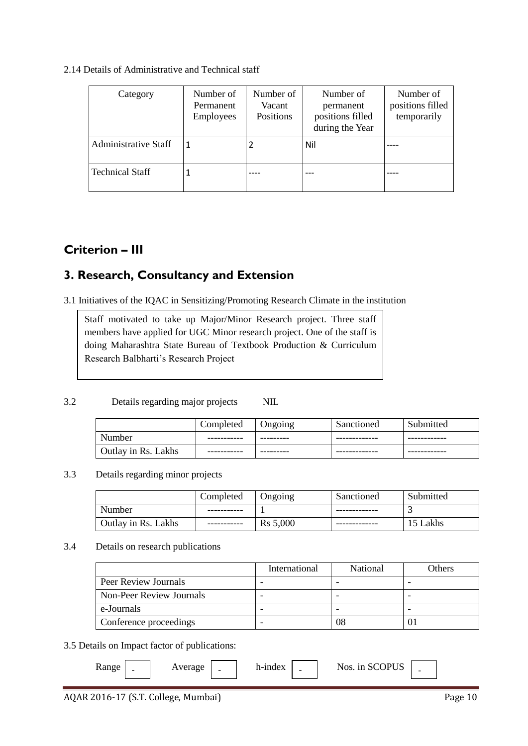#### 2.14 Details of Administrative and Technical staff

| Category                    | Number of<br>Permanent<br><b>Employees</b> | Number of<br>Vacant<br>Positions | Number of<br>permanent<br>positions filled<br>during the Year | Number of<br>positions filled<br>temporarily |
|-----------------------------|--------------------------------------------|----------------------------------|---------------------------------------------------------------|----------------------------------------------|
| <b>Administrative Staff</b> |                                            |                                  | Nil                                                           |                                              |
| <b>Technical Staff</b>      |                                            |                                  |                                                               |                                              |

## **Criterion – III**

## **3. Research, Consultancy and Extension**

3.1 Initiatives of the IQAC in Sensitizing/Promoting Research Climate in the institution

Staff motivated to take up Major/Minor Research project. Three staff members have applied for UGC Minor research project. One of the staff is doing Maharashtra State Bureau of Textbook Production & Curriculum Research Balbharti's Research Project

3.2 Details regarding major projects NIL

|                     | Completed | Ongoing | Sanctioned | Submitted |
|---------------------|-----------|---------|------------|-----------|
| Number              |           |         |            |           |
| Outlay in Rs. Lakhs |           |         |            |           |

3.3 Details regarding minor projects

|                            | Completed | Ongoing  | Sanctioned | Submitted |
|----------------------------|-----------|----------|------------|-----------|
| Number                     |           |          |            |           |
| <b>Outlay in Rs. Lakhs</b> |           | Rs 5,000 |            | 15 Lakhs  |

#### 3.4 Details on research publications

|                                 | International | National | Others |
|---------------------------------|---------------|----------|--------|
| Peer Review Journals            |               |          |        |
| <b>Non-Peer Review Journals</b> |               |          |        |
| e-Journals                      |               |          |        |
| Conference proceedings          |               | 08       |        |

3.5 Details on Impact factor of publications:

 $\text{Range}$  |  $\text{Average}$  |  $\text{h-index}$  |  $\text{Nos. in SCOPUS}$  |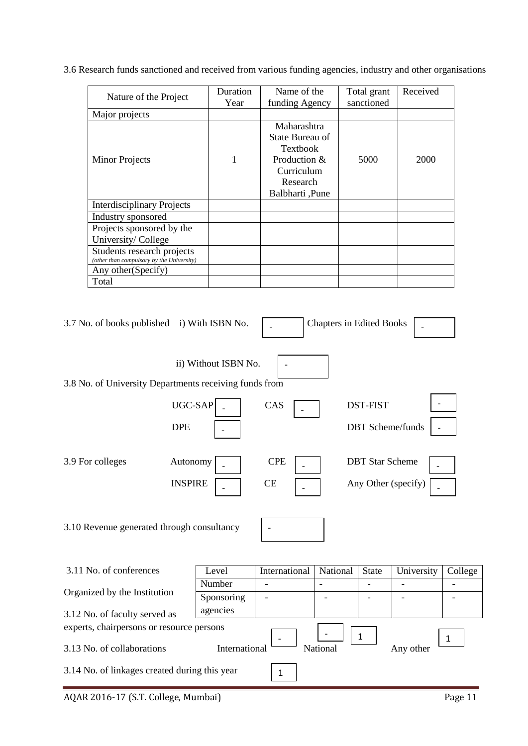3.6 Research funds sanctioned and received from various funding agencies, industry and other organisations

| Nature of the Project                                                   | Duration<br>Year | Name of the<br>funding Agency                                                                                    | Total grant<br>sanctioned | Received |
|-------------------------------------------------------------------------|------------------|------------------------------------------------------------------------------------------------------------------|---------------------------|----------|
| Major projects                                                          |                  |                                                                                                                  |                           |          |
| <b>Minor Projects</b>                                                   | 1                | Maharashtra<br>State Bureau of<br><b>Textbook</b><br>Production $&$<br>Curriculum<br>Research<br>Balbharti, Pune | 5000                      | 2000     |
| <b>Interdisciplinary Projects</b>                                       |                  |                                                                                                                  |                           |          |
| Industry sponsored                                                      |                  |                                                                                                                  |                           |          |
| Projects sponsored by the<br>University/College                         |                  |                                                                                                                  |                           |          |
| Students research projects<br>(other than compulsory by the University) |                  |                                                                                                                  |                           |          |
| Any other (Specify)                                                     |                  |                                                                                                                  |                           |          |
| Total                                                                   |                  |                                                                                                                  |                           |          |

| 3.7 No. of books published i) With ISBN No.            |                      |               | <b>Chapters in Edited Books</b> |                          |                     |              |
|--------------------------------------------------------|----------------------|---------------|---------------------------------|--------------------------|---------------------|--------------|
|                                                        | ii) Without ISBN No. |               |                                 |                          |                     |              |
| 3.8 No. of University Departments receiving funds from |                      |               |                                 |                          |                     |              |
| UGC-SAP                                                |                      | CAS           |                                 | <b>DST-FIST</b>          |                     |              |
| <b>DPE</b>                                             |                      |               |                                 | <b>DBT</b> Scheme/funds  |                     |              |
| 3.9 For colleges<br>Autonomy                           |                      | <b>CPE</b>    |                                 | <b>DBT</b> Star Scheme   |                     |              |
| <b>INSPIRE</b>                                         |                      | <b>CE</b>     |                                 |                          | Any Other (specify) |              |
| 3.10 Revenue generated through consultancy             |                      |               |                                 |                          |                     |              |
| 3.11 No. of conferences                                | Level                | International | National                        | <b>State</b>             | University          | College      |
|                                                        | Number               |               |                                 | $\overline{a}$           |                     |              |
| Organized by the Institution                           | Sponsoring           |               |                                 | $\overline{\phantom{a}}$ |                     |              |
| 3.12 No. of faculty served as                          | agencies             |               |                                 |                          |                     |              |
| experts, chairpersons or resource persons              |                      |               |                                 |                          |                     |              |
| 3.13 No. of collaborations                             | International        |               | National                        | 1                        | Any other           | $\mathbf{1}$ |
| 3.14 No. of linkages created during this year          |                      | $\mathbf{1}$  |                                 |                          |                     |              |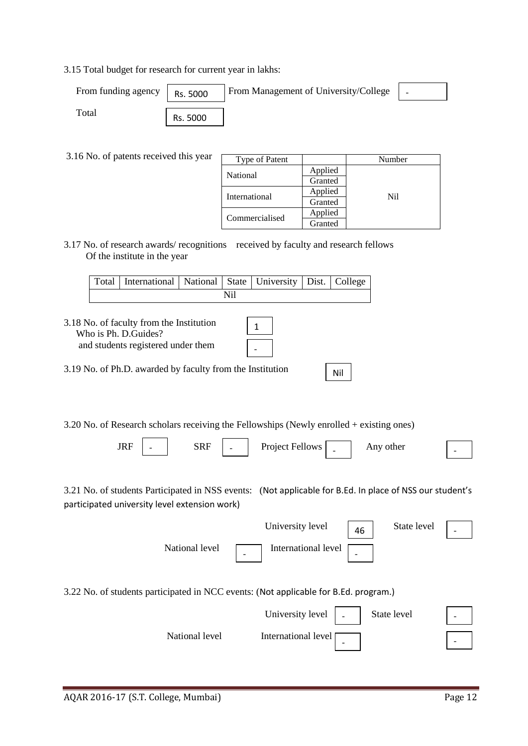3.15 Total budget for research for current year in lakhs:

| From funding agency | Rs. 5000 | From Management of University/College |  |
|---------------------|----------|---------------------------------------|--|
| $_{\rm Total}$      | Rs. 5000 |                                       |  |

3.16 No. of patents received this year

| Type of Patent |         | Number |
|----------------|---------|--------|
| National       | Applied |        |
|                | Granted |        |
| International  | Applied | Nil    |
|                | Granted |        |
| Commercialised | Applied |        |
|                | Granted |        |

3.17 No. of research awards/ recognitions received by faculty and research fellows Of the institute in the year

|  |  | Total   International   National   State   University   Dist.   College |  |
|--|--|-------------------------------------------------------------------------|--|
|  |  |                                                                         |  |

| 3.18 No. of faculty from the Institution<br>Who is Ph. D. Guides?<br>and students registered under them |  |
|---------------------------------------------------------------------------------------------------------|--|
| 3.19 No. of Ph.D. awarded by faculty from the Institution                                               |  |

3.20 No. of Research scholars receiving the Fellowships (Newly enrolled + existing ones)

| —<br>JKI<br>. .<br>- |  | SКI | $\overline{\phantom{0}}$ | 11<br>Project Fellows<br>____ |  | nv other.<br>71.<br>-----<br>---- |  |  |
|----------------------|--|-----|--------------------------|-------------------------------|--|-----------------------------------|--|--|
|----------------------|--|-----|--------------------------|-------------------------------|--|-----------------------------------|--|--|

3.21 No. of students Participated in NSS events: (Not applicable for B.Ed. In place of NSS our student's participated university level extension work)

|                                                                                      | University level    | 46                       | State level |                          |
|--------------------------------------------------------------------------------------|---------------------|--------------------------|-------------|--------------------------|
| National level                                                                       | International level | $\overline{\phantom{a}}$ |             |                          |
| 3.22 No. of students participated in NCC events: (Not applicable for B.Ed. program.) |                     |                          |             |                          |
|                                                                                      | University level    |                          | State level | $\overline{\phantom{a}}$ |
| National level                                                                       | International level |                          |             |                          |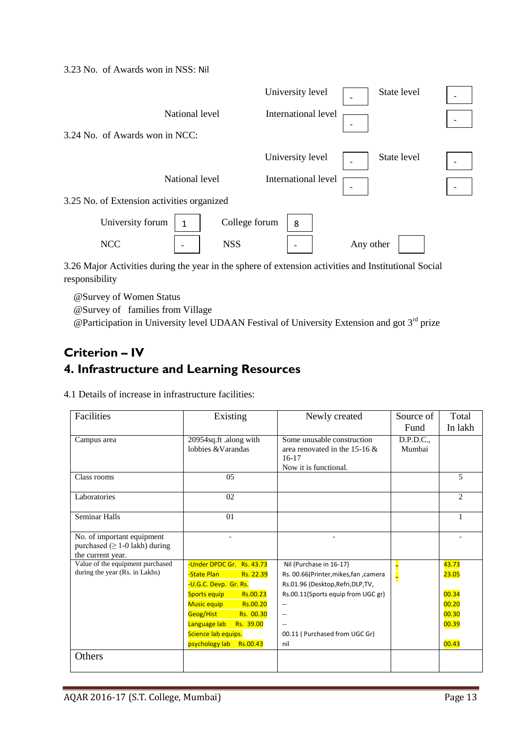|                                                                                                                                                            |                                                                                  | University level    |           | State level                                                                                                                                                                                                                                                                                                                        |  |
|------------------------------------------------------------------------------------------------------------------------------------------------------------|----------------------------------------------------------------------------------|---------------------|-----------|------------------------------------------------------------------------------------------------------------------------------------------------------------------------------------------------------------------------------------------------------------------------------------------------------------------------------------|--|
|                                                                                                                                                            | National level                                                                   | International level |           |                                                                                                                                                                                                                                                                                                                                    |  |
| 3.24 No. of Awards won in NCC:                                                                                                                             |                                                                                  |                     |           |                                                                                                                                                                                                                                                                                                                                    |  |
|                                                                                                                                                            |                                                                                  | University level    |           | State level                                                                                                                                                                                                                                                                                                                        |  |
|                                                                                                                                                            | National level                                                                   | International level |           |                                                                                                                                                                                                                                                                                                                                    |  |
| 3.25 No. of Extension activities organized                                                                                                                 |                                                                                  |                     |           |                                                                                                                                                                                                                                                                                                                                    |  |
| University forum                                                                                                                                           | College forum                                                                    | 8                   |           |                                                                                                                                                                                                                                                                                                                                    |  |
| <b>NCC</b>                                                                                                                                                 | <b>NSS</b>                                                                       |                     | Any other |                                                                                                                                                                                                                                                                                                                                    |  |
| the contract of the contract of the contract of the contract of the contract of the contract of the contract of<br>$\bigcap$ $\bigcap$ $\bigcap$ $\bigcap$ | $\mathbf{r}$ and $\mathbf{r}$ and $\mathbf{r}$ and $\mathbf{r}$ and $\mathbf{r}$ |                     |           | $\mathbf{1}$ $\mathbf{r}$ $\mathbf{r}$ $\mathbf{r}$ $\mathbf{r}$ $\mathbf{r}$ $\mathbf{r}$ $\mathbf{r}$ $\mathbf{r}$ $\mathbf{r}$ $\mathbf{r}$ $\mathbf{r}$ $\mathbf{r}$ $\mathbf{r}$ $\mathbf{r}$ $\mathbf{r}$ $\mathbf{r}$ $\mathbf{r}$ $\mathbf{r}$ $\mathbf{r}$ $\mathbf{r}$ $\mathbf{r}$ $\mathbf{r}$ $\mathbf{r}$ $\mathbf{$ |  |

3.26 Major Activities during the year in the sphere of extension activities and Institutional Social responsibility

@Survey of Women Status

@Survey of families from Village

@Participation in University level UDAAN Festival of University Extension and got  $3<sup>rd</sup>$  prize

## **Criterion – IV 4. Infrastructure and Learning Resources**

| Facilities                                                                              | Existing                                                                                                                                                                                                                                                 | Newly created                                                                                                                                                                               | Source of           | Total                                                       |
|-----------------------------------------------------------------------------------------|----------------------------------------------------------------------------------------------------------------------------------------------------------------------------------------------------------------------------------------------------------|---------------------------------------------------------------------------------------------------------------------------------------------------------------------------------------------|---------------------|-------------------------------------------------------------|
|                                                                                         |                                                                                                                                                                                                                                                          |                                                                                                                                                                                             | Fund                | In lakh                                                     |
| Campus area                                                                             | 20954sq.ft .along with<br>lobbies & Varandas                                                                                                                                                                                                             | Some unusable construction<br>area renovated in the 15-16 $&$<br>$16-17$<br>Now it is functional.                                                                                           | D.P.D.C.,<br>Mumbai |                                                             |
| Class rooms                                                                             | 05                                                                                                                                                                                                                                                       |                                                                                                                                                                                             |                     | 5                                                           |
| Laboratories                                                                            | 02                                                                                                                                                                                                                                                       |                                                                                                                                                                                             |                     | $\mathfrak{D}$                                              |
| Seminar Halls                                                                           | 01                                                                                                                                                                                                                                                       |                                                                                                                                                                                             |                     | 1                                                           |
| No. of important equipment<br>purchased $( \geq 1$ -0 lakh) during<br>the current year. |                                                                                                                                                                                                                                                          |                                                                                                                                                                                             |                     |                                                             |
| Value of the equipment purchased<br>during the year (Rs. in Lakhs)                      | -Under DPDC Gr. Rs. 43.73<br>-State Plan<br>Rs. 22.39<br>-U.G.C. Devp. Gr. Rs.<br>Rs.00.23<br><b>Sports equip</b><br>Music equip<br>Rs.00.20<br>Geog/Hist<br>Rs. 00.30<br>Language lab<br>Rs. 39.00<br>Science lab equips.<br>psychology lab<br>Rs.00.43 | Nil (Purchase in 16-17)<br>Rs. 00.66(Printer, mikes, fan, camera<br>Rs.01.96 (Desktop, Refri, DLP, TV,<br>Rs.00.11(Sports equip from UGC gr)<br>$-$<br>00.11 (Purchased from UGC Gr)<br>nil |                     | 43.73<br>23.05<br>00.34<br>00.20<br>00.30<br>00.39<br>00.43 |
| Others                                                                                  |                                                                                                                                                                                                                                                          |                                                                                                                                                                                             |                     |                                                             |

4.1 Details of increase in infrastructure facilities: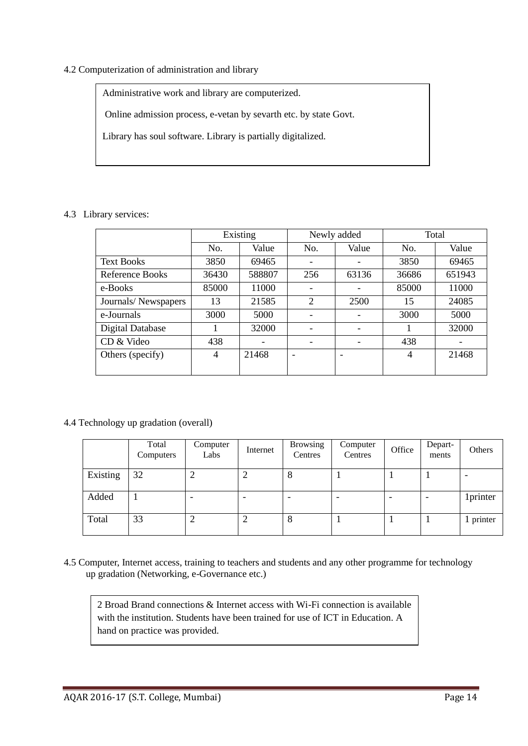#### 4.2 Computerization of administration and library

Administrative work and library are computerized.

Online admission process, e-vetan by sevarth etc. by state Govt.

Library has soul software. Library is partially digitalized.

#### 4.3 Library services:

|                     | Existing |        |     | Newly added | Total          |        |  |
|---------------------|----------|--------|-----|-------------|----------------|--------|--|
|                     | No.      | Value  | No. | Value       | No.            | Value  |  |
| <b>Text Books</b>   | 3850     | 69465  |     |             | 3850           | 69465  |  |
| Reference Books     | 36430    | 588807 | 256 | 63136       | 36686          | 651943 |  |
| e-Books             | 85000    | 11000  |     |             | 85000          | 11000  |  |
| Journals/Newspapers | 13       | 21585  | 2   | 2500        | 15             | 24085  |  |
| e-Journals          | 3000     | 5000   |     |             | 3000           | 5000   |  |
| Digital Database    |          | 32000  |     |             |                | 32000  |  |
| CD & Video          | 438      |        |     |             | 438            |        |  |
| Others (specify)    | 4        | 21468  | ٠   |             | $\overline{4}$ | 21468  |  |
|                     |          |        |     |             |                |        |  |

#### 4.4 Technology up gradation (overall)

|          | Total<br>Computers | Computer<br>Labs         | Internet | <b>Browsing</b><br>Centres | Computer<br>Centres | Office | Depart-<br>ments | Others    |
|----------|--------------------|--------------------------|----------|----------------------------|---------------------|--------|------------------|-----------|
| Existing | 32                 |                          | ∠        | Ω<br>$\circ$               |                     |        |                  |           |
| Added    |                    | $\overline{\phantom{0}}$ |          |                            |                     |        |                  | 1printer  |
| Total    | 33                 |                          |          | 8                          |                     |        |                  | . printer |

4.5 Computer, Internet access, training to teachers and students and any other programme for technology up gradation (Networking, e-Governance etc.)

2 Broad Brand connections & Internet access with Wi-Fi connection is available with the institution. Students have been trained for use of ICT in Education. A hand on practice was provided.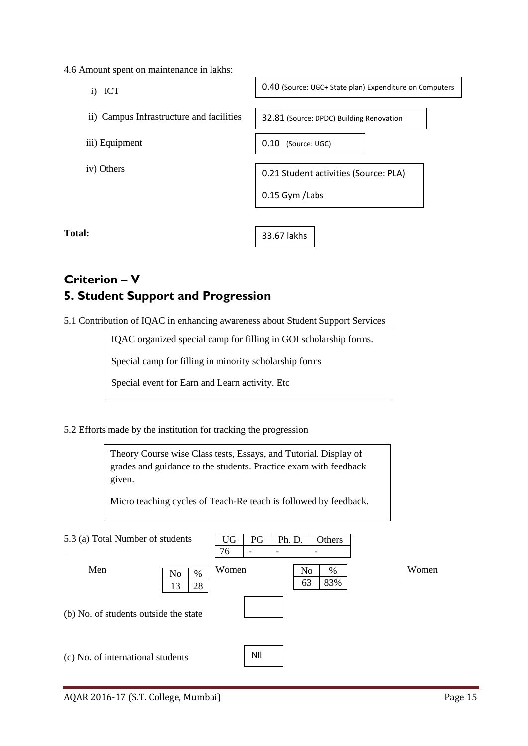- 4.6 Amount spent on maintenance in lakhs:
	- i) ICT
	- ii) Campus Infrastructure and facilities
	- iii) Equipment
	- iv) Others

| 0.40 (Source: UGC+ State plan) Expenditure on Computers |
|---------------------------------------------------------|
|                                                         |
| 32.81 (Source: DPDC) Building Renovation                |
| 0.10 (Source: UGC)                                      |
| 0.21 Student activities (Source: PLA)                   |
| $0.15$ Gym / Labs                                       |

**Total:** 

33.67 lakhs

## **Criterion – V 5. Student Support and Progression**

5.1 Contribution of IQAC in enhancing awareness about Student Support Services

IQAC organized special camp for filling in GOI scholarship forms.

Special camp for filling in minority scholarship forms

Special event for Earn and Learn activity. Etc

5.2 Efforts made by the institution for tracking the progression

Theory Course wise Class tests, Essays, and Tutorial. Display of grades and guidance to the students. Practice exam with feedback given.

Micro teaching cycles of Teach-Re teach is followed by feedback.

Simulation and Macro lessons followed by feedback.

| 5.3 (a) Total Number of students      |                        | UG    | PG  | Ph. D. | Others               |       |
|---------------------------------------|------------------------|-------|-----|--------|----------------------|-------|
|                                       |                        | 76    |     |        |                      |       |
| Men                                   | N <sub>o</sub><br>$\%$ | Women |     |        | No<br>%<br>83%<br>63 | Women |
|                                       | 28<br>13               |       |     |        |                      |       |
| (b) No. of students outside the state |                        |       |     |        |                      |       |
|                                       |                        |       |     |        |                      |       |
| (c) No. of international students     |                        |       | Nil |        |                      |       |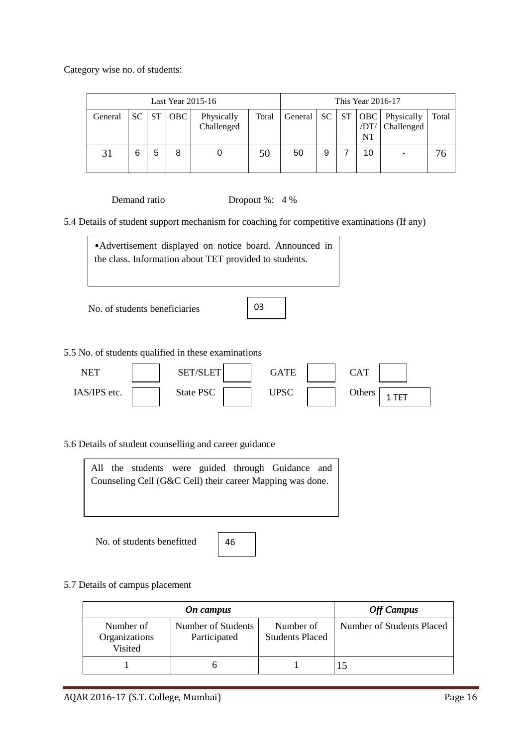Category wise no. of students:

| Last Year $2015-16$ |    |    |     |                          |       |    | This Year 2016-17 |                       |                                                    |       |
|---------------------|----|----|-----|--------------------------|-------|----|-------------------|-----------------------|----------------------------------------------------|-------|
| General             | SC | ST | OBC | Physically<br>Challenged | Total |    |                   | $\overline{DT}$<br>NT | General   SC   ST   OBC   Physically<br>Challenged | Total |
| 31                  | 6  | 5  | 8   |                          | 50    | 50 | 9                 | 10                    |                                                    |       |

Demand ratio Dropout %: 4 %

5.4 Details of student support mechanism for coaching for competitive examinations (If any)

•Advertisement displayed on notice board. Announced in the class. Information about TET provided to students.

No. of students beneficiaries



5.5 No. of students qualified in these examinations



5.6 Details of student counselling and career guidance



No. of students benefitted



#### 5.7 Details of campus placement

|                                       | <b>Off Campus</b>                  |                                     |                           |
|---------------------------------------|------------------------------------|-------------------------------------|---------------------------|
| Number of<br>Organizations<br>Visited | Number of Students<br>Participated | Number of<br><b>Students Placed</b> | Number of Students Placed |
|                                       |                                    |                                     |                           |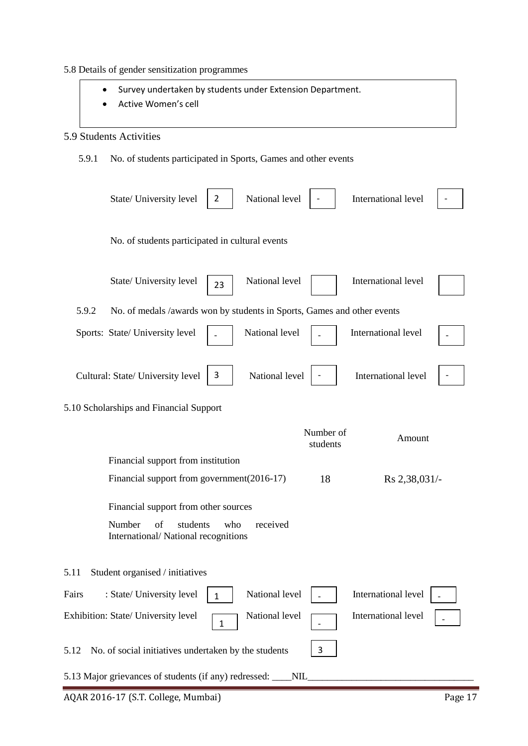- 5.8 Details of gender sensitization programmes
	- Survey undertaken by students under Extension Department.
	- Active Women's cell

#### 5.9 Students Activities

5.9.1 No. of students participated in Sports, Games and other events

|       | State/ University level                                                 | 2            | National level |                       | International level        |  |
|-------|-------------------------------------------------------------------------|--------------|----------------|-----------------------|----------------------------|--|
|       | No. of students participated in cultural events                         |              |                |                       |                            |  |
|       | State/ University level                                                 | 23           | National level |                       | <b>International level</b> |  |
| 5.9.2 | No. of medals /awards won by students in Sports, Games and other events |              |                |                       |                            |  |
|       | Sports: State/ University level                                         |              | National level |                       | International level        |  |
|       | Cultural: State/ University level                                       | 3            | National level |                       | International level        |  |
|       | 5.10 Scholarships and Financial Support                                 |              |                |                       |                            |  |
|       |                                                                         |              |                | Number of<br>students | Amount                     |  |
|       | Financial support from institution                                      |              |                |                       |                            |  |
|       | Financial support from government(2016-17)                              |              |                | 18                    | Rs 2,38,031/-              |  |
|       | Financial support from other sources                                    |              |                |                       |                            |  |
|       | Number<br>of<br>students<br>International/National recognitions         | who          | received       |                       |                            |  |
| 5.11  | Student organised / initiatives                                         |              |                |                       |                            |  |
| Fairs | : State/ University level                                               | $\mathbf{1}$ | National level |                       | International level        |  |
|       | Exhibition: State/ University level                                     | 1            | National level |                       | International level        |  |
| 5.12  | No. of social initiatives undertaken by the students                    |              |                | 3                     |                            |  |
|       | 5.13 Major grievances of students (if any) redressed:                   |              | <b>NIL</b>     |                       |                            |  |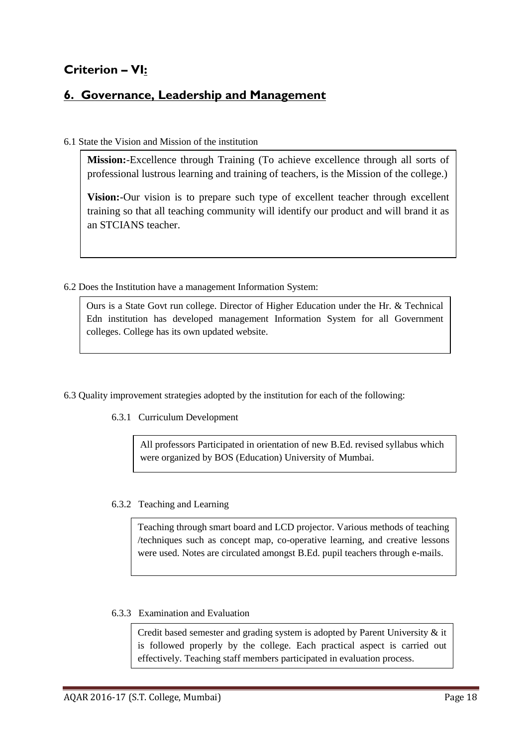## **Criterion – VI:**

## **6. Governance, Leadership and Management**

#### 6.1 State the Vision and Mission of the institution

**Mission:**-Excellence through Training (To achieve excellence through all sorts of professional lustrous learning and training of teachers, is the Mission of the college.)

**Vision:**-Our vision is to prepare such type of excellent teacher through excellent training so that all teaching community will identify our product and will brand it as an STCIANS teacher.

6.2 Does the Institution have a management Information System:

Ours is a State Govt run college. Director of Higher Education under the Hr. & Technical Edn institution has developed management Information System for all Government colleges. College has its own updated website.

- 6.3 Quality improvement strategies adopted by the institution for each of the following:
	- 6.3.1 Curriculum Development

All professors Participated in orientation of new B.Ed. revised syllabus which were organized by BOS (Education) University of Mumbai.

6.3.2 Teaching and Learning

Teaching through smart board and LCD projector. Various methods of teaching /techniques such as concept map, co-operative learning, and creative lessons were used. Notes are circulated amongst B.Ed. pupil teachers through e-mails.

6.3.3 Examination and Evaluation

Credit based semester and grading system is adopted by Parent University & it is followed properly by the college. Each practical aspect is carried out effectively. Teaching staff members participated in evaluation process.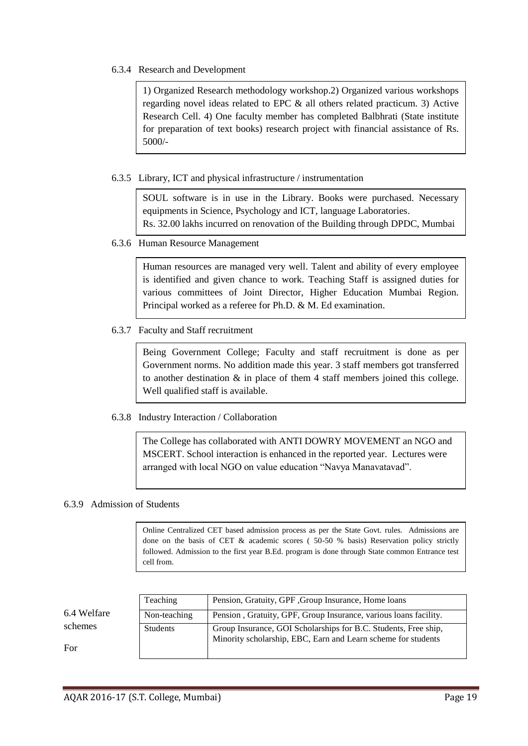#### 6.3.4 Research and Development

1) Organized Research methodology workshop.2) Organized various workshops regarding novel ideas related to EPC & all others related practicum. 3) Active Research Cell. 4) One faculty member has completed Balbhrati (State institute for preparation of text books) research project with financial assistance of Rs. 5000/-

#### 6.3.5 Library, ICT and physical infrastructure / instrumentation

SOUL software is in use in the Library. Books were purchased. Necessary equipments in Science, Psychology and ICT, language Laboratories. Rs. 32.00 lakhs incurred on renovation of the Building through DPDC, Mumbai

#### 6.3.6 Human Resource Management

Human resources are managed very well. Talent and ability of every employee is identified and given chance to work. Teaching Staff is assigned duties for various committees of Joint Director, Higher Education Mumbai Region. Principal worked as a referee for Ph.D. & M. Ed examination.

#### 6.3.7 Faculty and Staff recruitment

Being Government College; Faculty and staff recruitment is done as per Government norms. No addition made this year. 3 staff members got transferred to another destination & in place of them 4 staff members joined this college. Well qualified staff is available.

#### 6.3.8 Industry Interaction / Collaboration

The College has collaborated with ANTI DOWRY MOVEMENT an NGO and MSCERT. School interaction is enhanced in the reported year. Lectures were arranged with local NGO on value education "Navya Manavatavad".

#### 6.3.9 Admission of Students

Online Centralized CET based admission process as per the State Govt. rules. Admissions are done on the basis of CET  $\&$  academic scores (50-50 % basis) Reservation policy strictly followed. Admission to the first year B.Ed. program is done through State common Entrance test cell from.

6.4 Welfare schemes

For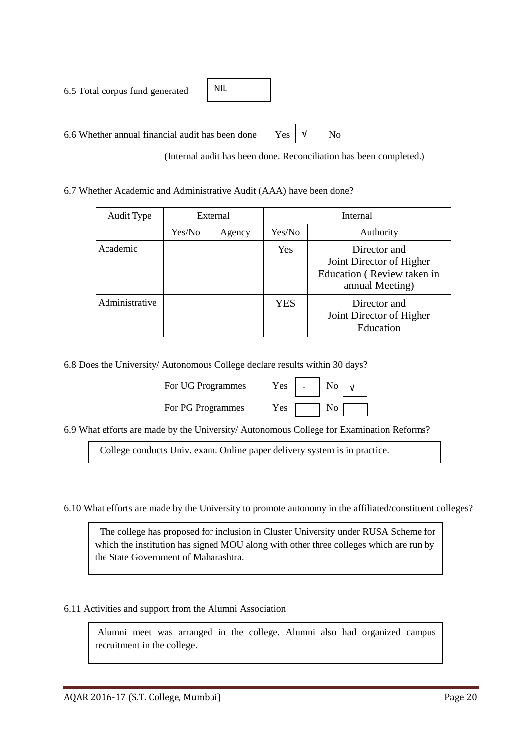6.5 Total corpus fund generated 6.6 Whether annual financial audit has been done Yes  $\vert \vee \vert$  No NIL √

(Internal audit has been done. Reconciliation has been completed.)

6.7 Whether Academic and Administrative Audit (AAA) have been done?

| Audit Type     |        | External |                                                              | Internal                                                                                  |
|----------------|--------|----------|--------------------------------------------------------------|-------------------------------------------------------------------------------------------|
|                | Yes/No | Agency   | Yes/No                                                       | Authority                                                                                 |
| Academic       |        |          | Yes                                                          | Director and<br>Joint Director of Higher<br>Education (Review taken in<br>annual Meeting) |
| Administrative |        |          | Director and<br>YES<br>Joint Director of Higher<br>Education |                                                                                           |

6.8 Does the University/ Autonomous College declare results within 30 days?

| For UG Programmes | Yes a | $\vert$ - $\vert$ No $\vert$ |     |  |
|-------------------|-------|------------------------------|-----|--|
| For PG Programmes | Yes:  |                              | No. |  |

---

6.9 What efforts are made by the University/ Autonomous College for Examination Reforms? -

College conducts Univ. exam. Online paper delivery system is in practice.

6.10 What efforts are made by the University to promote autonomy in the affiliated/constituent colleges?

 The college has proposed for inclusion in Cluster University under RUSA Scheme for which the institution has signed MOU along with other three colleges which are run by the State Government of Maharashtra.

6.11 Activities and support from the Alumni Association

Alumni meet was arranged in the college. Alumni also had organized campus recruitment in the college.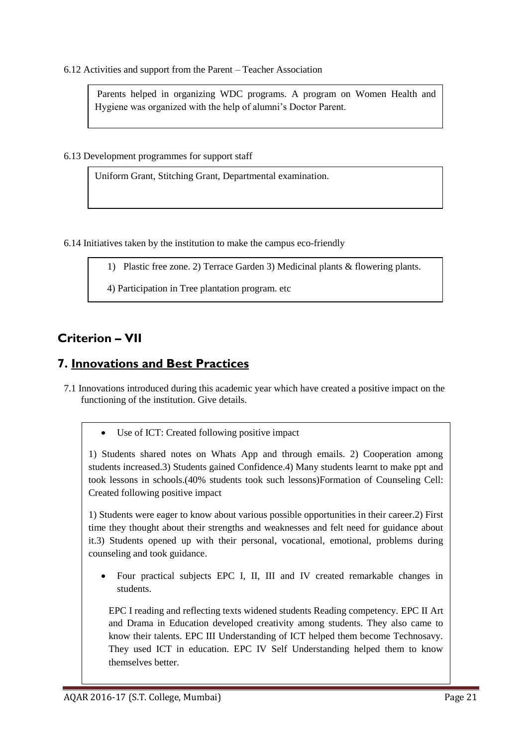6.12 Activities and support from the Parent – Teacher Association

Parents helped in organizing WDC programs. A program on Women Health and Hygiene was organized with the help of alumni's Doctor Parent.

6.13 Development programmes for support staff

Uniform Grant, Stitching Grant, Departmental examination.

6.14 Initiatives taken by the institution to make the campus eco-friendly

1) Plastic free zone. 2) Terrace Garden 3) Medicinal plants & flowering plants.

4) Participation in Tree plantation program. etc

## **Criterion – VII**

### **7. Innovations and Best Practices**

- 7.1 Innovations introduced during this academic year which have created a positive impact on the functioning of the institution. Give details.
	- Use of ICT: Created following positive impact

1) Students shared notes on Whats App and through emails. 2) Cooperation among students increased.3) Students gained Confidence.4) Many students learnt to make ppt and took lessons in schools.(40% students took such lessons)Formation of Counseling Cell: Created following positive impact

1) Students were eager to know about various possible opportunities in their career.2) First time they thought about their strengths and weaknesses and felt need for guidance about it.3) Students opened up with their personal, vocational, emotional, problems during counseling and took guidance.

 Four practical subjects EPC I, II, III and IV created remarkable changes in students.

EPC I reading and reflecting texts widened students Reading competency. EPC II Art and Drama in Education developed creativity among students. They also came to know their talents. EPC III Understanding of ICT helped them become Technosavy. They used ICT in education. EPC IV Self Understanding helped them to know themselves better.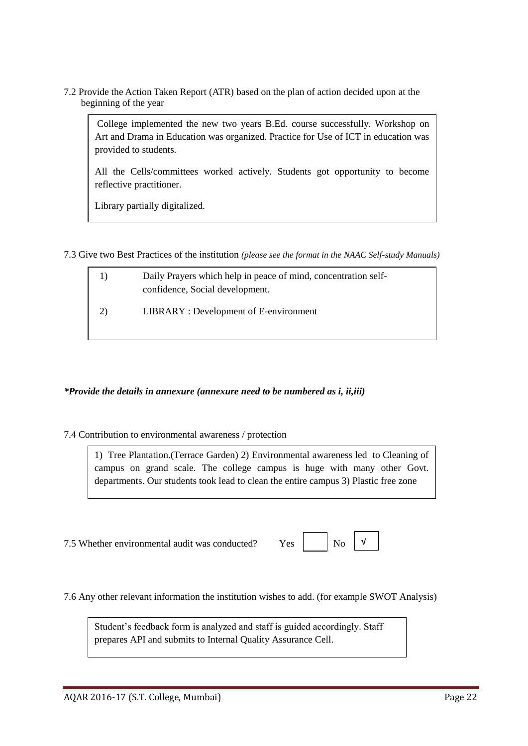7.2 Provide the Action Taken Report (ATR) based on the plan of action decided upon at the beginning of the year

College implemented the new two years B.Ed. course successfully. Workshop on Art and Drama in Education was organized. Practice for Use of ICT in education was provided to students.

All the Cells/committees worked actively. Students got opportunity to become reflective practitioner.

Library partially digitalized.

7.3 Give two Best Practices of the institution *(please see the format in the NAAC Self-study Manuals)*

|              | Daily Prayers which help in peace of mind, concentration self-<br>confidence, Social development. |
|--------------|---------------------------------------------------------------------------------------------------|
| <sup>2</sup> | LIBRARY: Development of E-environment                                                             |

#### *\*Provide the details in annexure (annexure need to be numbered as i, ii,iii)*

7.4 Contribution to environmental awareness / protection

1) Tree Plantation.(Terrace Garden) 2) Environmental awareness led to Cleaning of campus on grand scale. The college campus is huge with many other Govt. departments. Our students took lead to clean the entire campus 3) Plastic free zone

7.5 Whether environmental audit was conducted?  $Y$ es

7.6 Any other relevant information the institution wishes to add. (for example SWOT Analysis)

Student's feedback form is analyzed and staff is guided accordingly. Staff prepares API and submits to Internal Quality Assurance Cell.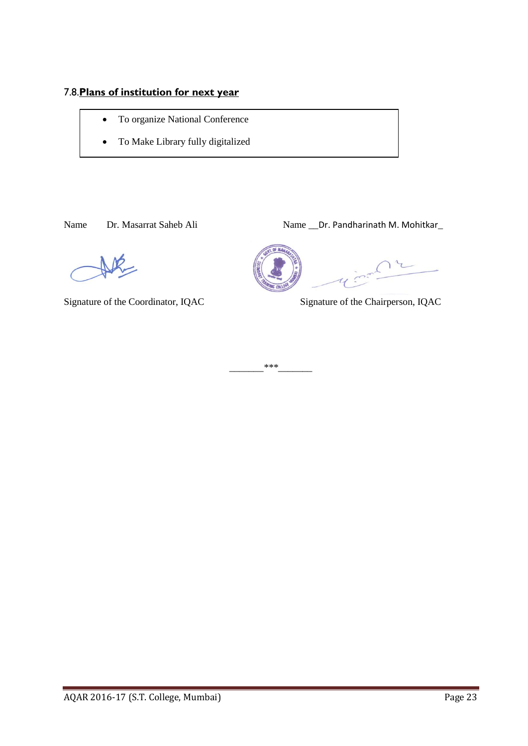#### 7.8.**Plans of institution for next year**

- To organize National Conference
- To Make Library fully digitalized

Name Dr. Masarrat Saheb Ali Name \_\_Dr. Pandharinath M. Mohitkar\_

*\_\_\_\_\_\_\_\*\*\*\_\_\_\_\_\_\_*

Signature of the Coordinator, IQAC Signature of the Chairperson, IQAC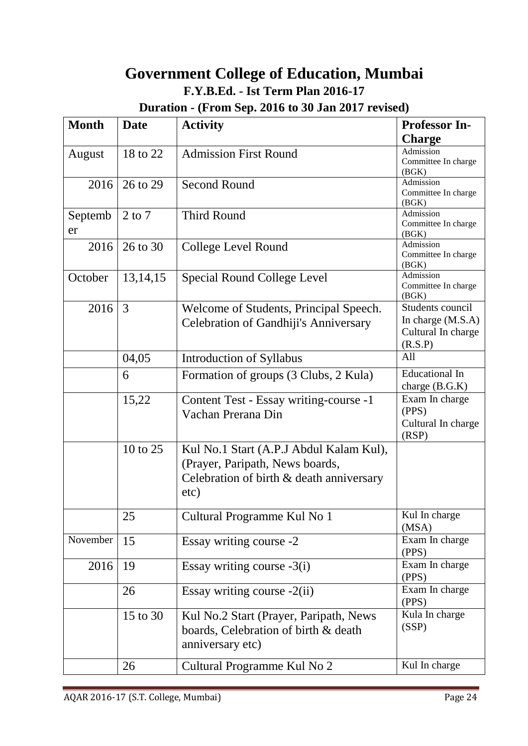# **Government College of Education, Mumbai F.Y.B.Ed. - Ist Term Plan 2016-17**

# **Duration - (From Sep. 2016 to 30 Jan 2017 revised)**

| <b>Month</b> | <b>Date</b> | <b>Activity</b>                          | <b>Professor In-</b>                    |
|--------------|-------------|------------------------------------------|-----------------------------------------|
|              |             |                                          | <b>Charge</b>                           |
| August       | 18 to 22    | <b>Admission First Round</b>             | Admission<br>Committee In charge        |
|              |             |                                          | (BGK)                                   |
| 2016         | 26 to 29    | <b>Second Round</b>                      | Admission                               |
|              |             |                                          | Committee In charge<br>(BGK)            |
| Septemb      | $2$ to $7$  | <b>Third Round</b>                       | Admission                               |
| er           |             |                                          | Committee In charge<br>(BGK)            |
| 2016         | 26 to 30    | College Level Round                      | Admission                               |
|              |             |                                          | Committee In charge<br>(BGK)            |
| October      | 13, 14, 15  | Special Round College Level              | Admission                               |
|              |             |                                          | Committee In charge<br>(BGK)            |
| 2016         | 3           | Welcome of Students, Principal Speech.   | Students council                        |
|              |             | Celebration of Gandhiji's Anniversary    | In charge $(M.S.A)$                     |
|              |             |                                          | Cultural In charge                      |
|              | 04,05       | Introduction of Syllabus                 | (R.S.P)<br>All                          |
|              |             |                                          |                                         |
|              | 6           | Formation of groups (3 Clubs, 2 Kula)    | <b>Educational In</b><br>charge (B.G.K) |
|              | 15,22       | Content Test - Essay writing-course -1   | Exam In charge                          |
|              |             | Vachan Prerana Din                       | (PPS)                                   |
|              |             |                                          | Cultural In charge                      |
|              |             |                                          | (RSP)                                   |
|              | 10 to 25    | Kul No.1 Start (A.P.J Abdul Kalam Kul),  |                                         |
|              |             | (Prayer, Paripath, News boards,          |                                         |
|              |             | Celebration of birth & death anniversary |                                         |
|              |             | etc)                                     |                                         |
|              | 25          | Cultural Programme Kul No 1              | Kul In charge                           |
|              |             |                                          | (MSA)                                   |
| November     | 15          | Essay writing course -2                  | Exam In charge<br>(PPS)                 |
| 2016         | 19          | Essay writing course $-3(i)$             | Exam In charge                          |
|              |             |                                          | (PPS)                                   |
|              | 26          | Essay writing course -2(ii)              | Exam In charge<br>(PPS)                 |
|              | 15 to 30    | Kul No.2 Start (Prayer, Paripath, News   | Kula In charge                          |
|              |             | boards, Celebration of birth & death     | (SSP)                                   |
|              |             | anniversary etc)                         |                                         |
|              | 26          | Cultural Programme Kul No 2              | Kul In charge                           |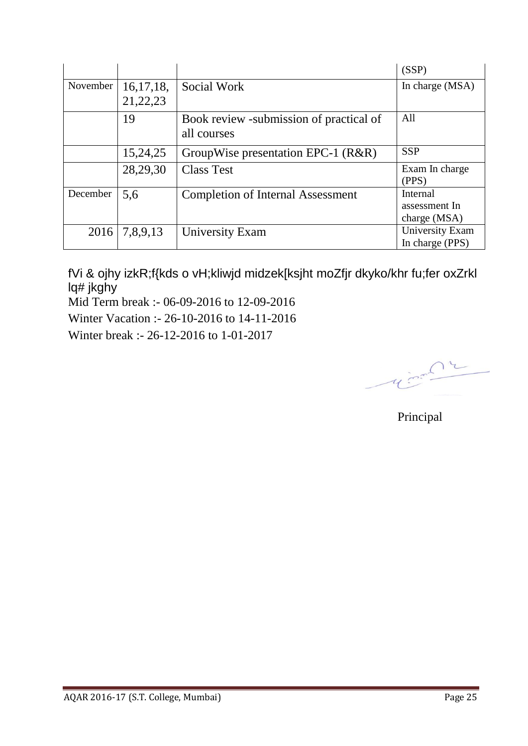|          |             |                                          | (SSP)           |
|----------|-------------|------------------------------------------|-----------------|
| November | 16, 17, 18, | Social Work                              | In charge (MSA) |
|          | 21, 22, 23  |                                          |                 |
|          | 19          | Book review - submission of practical of | All             |
|          |             | all courses                              |                 |
|          | 15,24,25    | GroupWise presentation EPC-1 (R&R)       | <b>SSP</b>      |
|          | 28,29,30    | <b>Class Test</b>                        | Exam In charge  |
|          |             |                                          | (PPS)           |
| December | 5,6         | <b>Completion of Internal Assessment</b> | Internal        |
|          |             |                                          | assessment In   |
|          |             |                                          | charge (MSA)    |
| 2016     | 7,8,9,13    | University Exam                          | University Exam |
|          |             |                                          | In charge (PPS) |

fVi & ojhy izkR;f{kds o vH;kliwjd midzek[ksjht moZfjr dkyko/khr fu;fer oxZrkl lq# jkghy

Mid Term break :- 06-09-2016 to 12-09-2016

Winter Vacation :- 26-10-2016 to 14-11-2016

Winter break :- 26-12-2016 to 1-01-2017

u con

Principal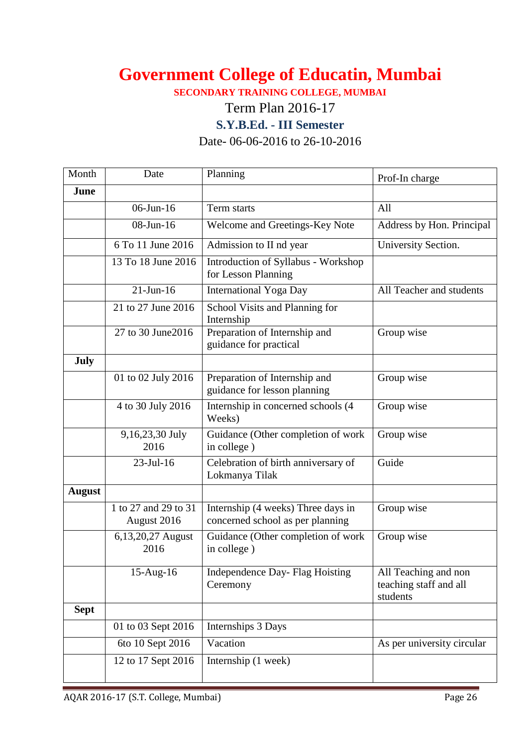# **Government College of Educatin, Mumbai**

**SECONDARY TRAINING COLLEGE, MUMBAI**

Term Plan 2016-17

**S.Y.B.Ed. - III Semester**

Date- 06-06-2016 to 26-10-2016

| Month         | Date                                | Planning                                                               | Prof-In charge                                             |
|---------------|-------------------------------------|------------------------------------------------------------------------|------------------------------------------------------------|
| June          |                                     |                                                                        |                                                            |
|               | 06-Jun-16                           | Term starts                                                            | All                                                        |
|               | 08-Jun-16                           | Welcome and Greetings-Key Note                                         | Address by Hon. Principal                                  |
|               | 6 To 11 June 2016                   | Admission to II nd year                                                | University Section.                                        |
|               | 13 To 18 June 2016                  | Introduction of Syllabus - Workshop<br>for Lesson Planning             |                                                            |
|               | $21-Jun-16$                         | <b>International Yoga Day</b>                                          | All Teacher and students                                   |
|               | 21 to 27 June 2016                  | School Visits and Planning for<br>Internship                           |                                                            |
|               | 27 to 30 June2016                   | Preparation of Internship and<br>guidance for practical                | Group wise                                                 |
| <b>July</b>   |                                     |                                                                        |                                                            |
|               | 01 to 02 July 2016                  | Preparation of Internship and<br>guidance for lesson planning          | Group wise                                                 |
|               | 4 to 30 July 2016                   | Internship in concerned schools (4<br>Weeks)                           | Group wise                                                 |
|               | 9,16,23,30 July<br>2016             | Guidance (Other completion of work<br>in college)                      | Group wise                                                 |
|               | 23-Jul-16                           | Celebration of birth anniversary of<br>Lokmanya Tilak                  | Guide                                                      |
| <b>August</b> |                                     |                                                                        |                                                            |
|               | 1 to 27 and 29 to 31<br>August 2016 | Internship (4 weeks) Three days in<br>concerned school as per planning | Group wise                                                 |
|               | 6,13,20,27 August<br>2016           | Guidance (Other completion of work<br>in college)                      | Group wise                                                 |
|               | 15-Aug-16                           | Independence Day- Flag Hoisting<br>Ceremony                            | All Teaching and non<br>teaching staff and all<br>students |
| <b>Sept</b>   |                                     |                                                                        |                                                            |
|               | 01 to 03 Sept 2016                  | Internships 3 Days                                                     |                                                            |
|               | 6to 10 Sept 2016                    | Vacation                                                               | As per university circular                                 |
|               | 12 to 17 Sept 2016                  | Internship (1 week)                                                    |                                                            |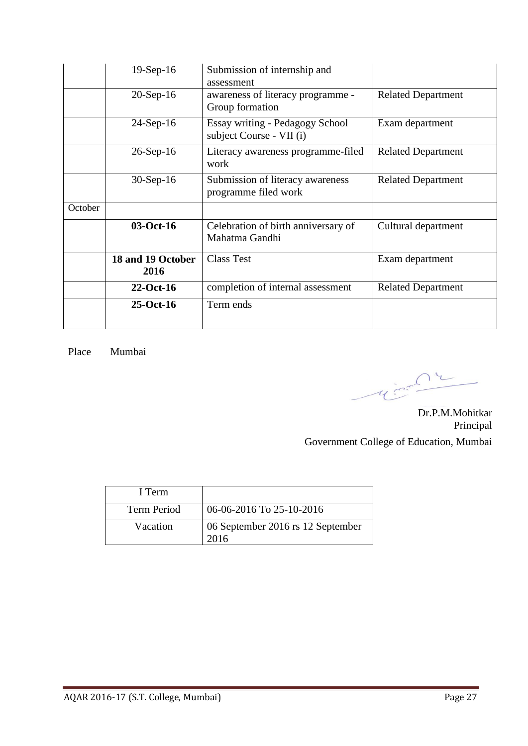|         | $19-Sep-16$               | Submission of internship and<br>assessment                         |                           |
|---------|---------------------------|--------------------------------------------------------------------|---------------------------|
|         | $20-Sep-16$               | awareness of literacy programme -<br>Group formation               | <b>Related Department</b> |
|         | $24-Sep-16$               | <b>Essay writing - Pedagogy School</b><br>subject Course - VII (i) | Exam department           |
|         | $26-Sep-16$               | Literacy awareness programme-filed<br>work                         | <b>Related Department</b> |
|         | $30-Sep-16$               | Submission of literacy awareness<br>programme filed work           | <b>Related Department</b> |
| October |                           |                                                                    |                           |
|         | 03-Oct-16                 | Celebration of birth anniversary of<br>Mahatma Gandhi              | Cultural department       |
|         | 18 and 19 October<br>2016 | <b>Class Test</b>                                                  | Exam department           |
|         | 22-Oct-16                 | completion of internal assessment                                  | <b>Related Department</b> |
|         | $25-Oct-16$               | Term ends                                                          |                           |

Place Mumbai

in  $\gamma$ 

Dr.P.M.Mohitkar Principal Government College of Education, Mumbai

| I Term             |                                           |
|--------------------|-------------------------------------------|
| <b>Term Period</b> | 06-06-2016 To 25-10-2016                  |
| Vacation           | 06 September 2016 rs 12 September<br>2016 |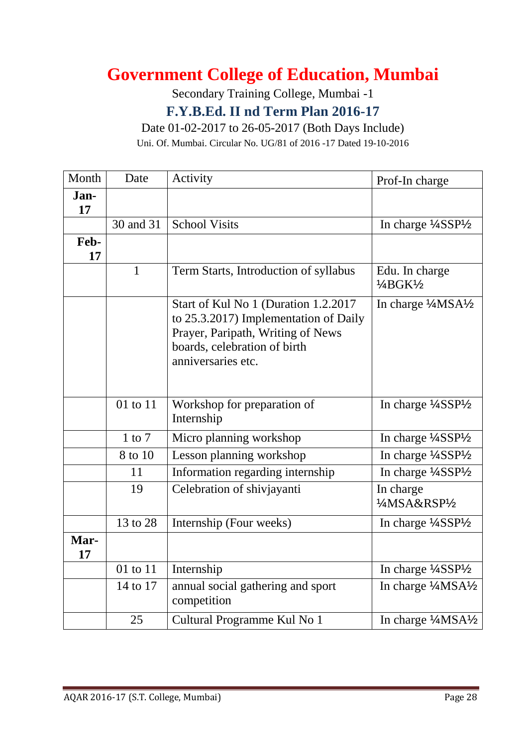# **Government College of Education, Mumbai**

Secondary Training College, Mumbai -1

## **F.Y.B.Ed. II nd Term Plan 2016-17**

Date 01-02-2017 to 26-05-2017 (Both Days Include)

Uni. Of. Mumbai. Circular No. UG/81 of 2016 -17 Dated 19-10-2016

| Month      | Date         | Activity                                                                                                                                                                 | Prof-In charge                        |
|------------|--------------|--------------------------------------------------------------------------------------------------------------------------------------------------------------------------|---------------------------------------|
| Jan-<br>17 |              |                                                                                                                                                                          |                                       |
|            | 30 and 31    | <b>School Visits</b>                                                                                                                                                     | In charge '4SSP'/2                    |
| Feb-<br>17 |              |                                                                                                                                                                          |                                       |
|            | $\mathbf{1}$ | Term Starts, Introduction of syllabus                                                                                                                                    | Edu. In charge<br>14BGK1/2            |
|            |              | Start of Kul No 1 (Duration 1.2.2017<br>to 25.3.2017) Implementation of Daily<br>Prayer, Paripath, Writing of News<br>boards, celebration of birth<br>anniversaries etc. | In charge 1/4MSA1/2                   |
|            | 01 to 11     | Workshop for preparation of<br>Internship                                                                                                                                | In charge '4SSP'/2                    |
|            | $1$ to $7$   | Micro planning workshop                                                                                                                                                  | In charge '4SSP'/2                    |
|            | 8 to 10      | Lesson planning workshop                                                                                                                                                 | In charge 1/4SSP1/2                   |
|            | 11           | Information regarding internship                                                                                                                                         | In charge 1/4SSP1/2                   |
|            | 19           | Celebration of shivjayanti                                                                                                                                               | In charge<br>1/4MSA&RSP1/2            |
|            | 13 to 28     | Internship (Four weeks)                                                                                                                                                  | In charge 1/4SSP1/2                   |
| Mar-<br>17 |              |                                                                                                                                                                          |                                       |
|            | 01 to 11     | Internship                                                                                                                                                               | In charge '4SSP'/2                    |
|            | 14 to 17     | annual social gathering and sport<br>competition                                                                                                                         | In charge $\frac{1}{4}MSA\frac{1}{2}$ |
|            | 25           | Cultural Programme Kul No 1                                                                                                                                              | In charge '/4MSA'/2                   |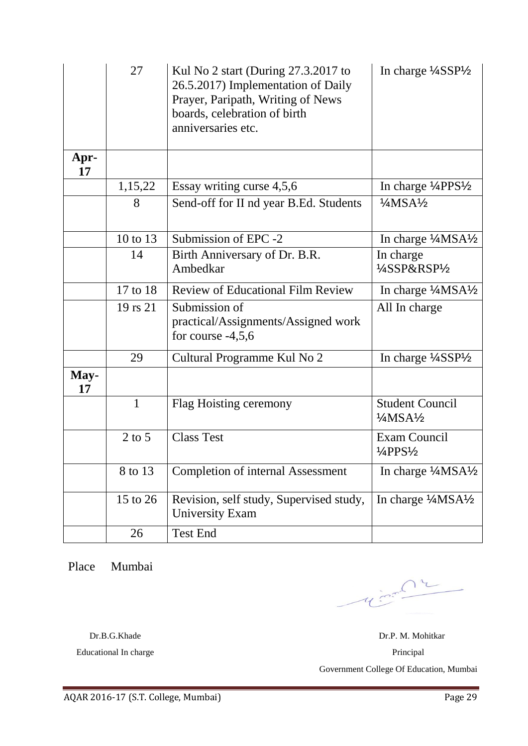|            | 27           | Kul No 2 start (During 27.3.2017 to<br>26.5.2017) Implementation of Daily<br>Prayer, Paripath, Writing of News<br>boards, celebration of birth<br>anniversaries etc. | In charge '4SSP'/2                                        |
|------------|--------------|----------------------------------------------------------------------------------------------------------------------------------------------------------------------|-----------------------------------------------------------|
| Apr-<br>17 |              |                                                                                                                                                                      |                                                           |
|            | 1,15,22      | Essay writing curse 4,5,6                                                                                                                                            | In charge 1/4PPS <sup>1</sup> / <sub>2</sub>              |
|            | 8            | Send-off for II nd year B.Ed. Students                                                                                                                               | 1/ <sub>4</sub> MSA <sup>1</sup> / <sub>2</sub>           |
|            | 10 to 13     | Submission of EPC -2                                                                                                                                                 | In charge '/4MSA'/2                                       |
|            | 14           | Birth Anniversary of Dr. B.R.<br>Ambedkar                                                                                                                            | In charge<br>14SSP&RSP1/2                                 |
|            | 17 to 18     | <b>Review of Educational Film Review</b>                                                                                                                             | In charge '/4MSA'/2                                       |
|            | 19 rs 21     | Submission of<br>practical/Assignments/Assigned work<br>for course $-4,5,6$                                                                                          | All In charge                                             |
|            | 29           | Cultural Programme Kul No 2                                                                                                                                          | In charge '4SSP'/2                                        |
| May-<br>17 |              |                                                                                                                                                                      |                                                           |
|            | $\mathbf{1}$ | Flag Hoisting ceremony                                                                                                                                               | <b>Student Council</b><br>$\frac{1}{4}$ MSA $\frac{1}{2}$ |
|            | $2$ to 5     | <b>Class Test</b>                                                                                                                                                    | <b>Exam Council</b><br>$\frac{1}{4}$ PPS $\frac{1}{2}$    |
|            | 8 to 13      | <b>Completion of internal Assessment</b>                                                                                                                             | In charge '/4MSA'/2                                       |
|            | 15 to 26     | Revision, self study, Supervised study,<br><b>University Exam</b>                                                                                                    | In charge '/4MSA'/2                                       |
|            | 26           | Test End                                                                                                                                                             |                                                           |

Place Mumbai

 $\frac{1}{2}$ 

Dr.B.G.Khade Dr.P. M. Mohitkar Educational In charge Principal Government College Of Education, Mumbai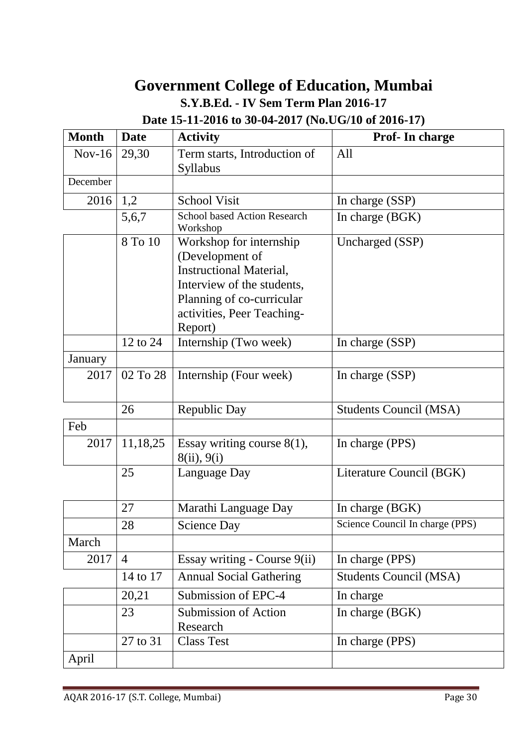## **Government College of Education, Mumbai S.Y.B.Ed. - IV Sem Term Plan 2016-17 Date 15-11-2016 to 30-04-2017 (No.UG/10 of 2016-17)**

| <b>Month</b> | <b>Date</b>    | <b>Activity</b>                                                                                                                                                       | Prof- In charge                 |
|--------------|----------------|-----------------------------------------------------------------------------------------------------------------------------------------------------------------------|---------------------------------|
| $Nov-16$     | 29,30          | Term starts, Introduction of                                                                                                                                          | All                             |
|              |                | <b>Syllabus</b>                                                                                                                                                       |                                 |
| December     |                |                                                                                                                                                                       |                                 |
| 2016         | 1,2            | <b>School Visit</b>                                                                                                                                                   | In charge (SSP)                 |
|              | 5,6,7          | <b>School based Action Research</b><br>Workshop                                                                                                                       | In charge (BGK)                 |
|              | 8 To 10        | Workshop for internship<br>(Development of<br><b>Instructional Material,</b><br>Interview of the students,<br>Planning of co-curricular<br>activities, Peer Teaching- | Uncharged (SSP)                 |
|              |                | Report)                                                                                                                                                               |                                 |
|              | 12 to 24       | Internship (Two week)                                                                                                                                                 | In charge (SSP)                 |
| January      |                |                                                                                                                                                                       |                                 |
| 2017         | 02 To 28       | Internship (Four week)                                                                                                                                                | In charge (SSP)                 |
|              | 26             | Republic Day                                                                                                                                                          | <b>Students Council (MSA)</b>   |
| Feb          |                |                                                                                                                                                                       |                                 |
| 2017         | 11,18,25       | Essay writing course $8(1)$ ,<br>8(ii), 9(i)                                                                                                                          | In charge (PPS)                 |
|              | 25             | Language Day                                                                                                                                                          | Literature Council (BGK)        |
|              | 27             | Marathi Language Day                                                                                                                                                  | In charge (BGK)                 |
|              | 28             | Science Day                                                                                                                                                           | Science Council In charge (PPS) |
| March        |                |                                                                                                                                                                       |                                 |
| 2017         | $\overline{4}$ | Essay writing - Course 9(ii)                                                                                                                                          | In charge (PPS)                 |
|              | 14 to 17       | <b>Annual Social Gathering</b>                                                                                                                                        | <b>Students Council (MSA)</b>   |
|              | 20,21          | Submission of EPC-4                                                                                                                                                   | In charge                       |
|              | 23             | <b>Submission of Action</b><br>Research                                                                                                                               | In charge (BGK)                 |
|              | 27 to 31       | <b>Class Test</b>                                                                                                                                                     | In charge (PPS)                 |
| April        |                |                                                                                                                                                                       |                                 |